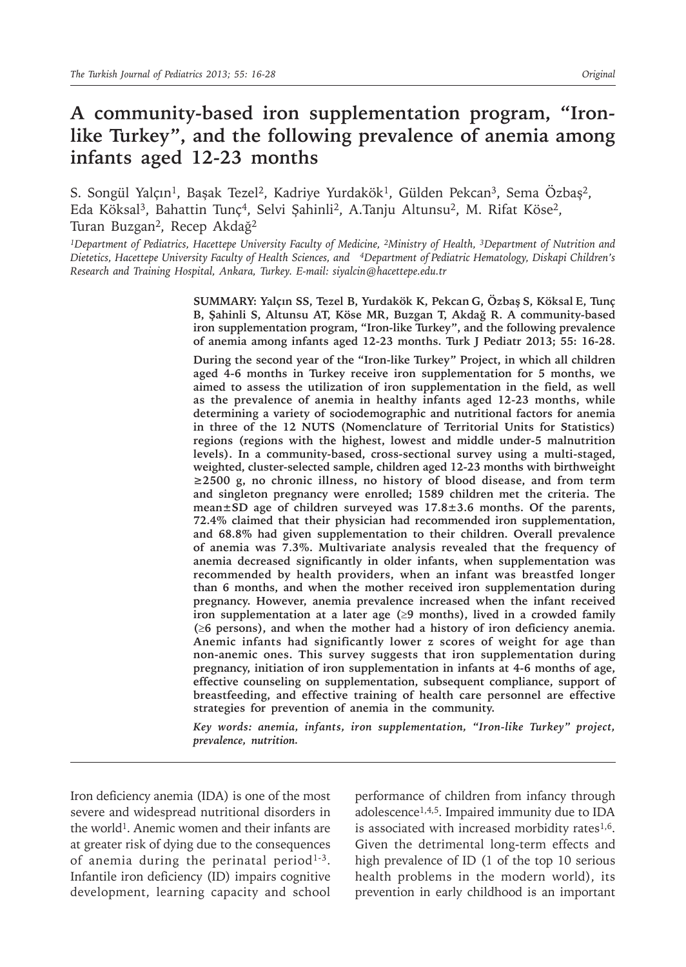# **A community-based iron supplementation program, "Ironlike Turkey", and the following prevalence of anemia among infants aged 12-23 months**

S. Songül Yalçın<sup>1</sup>, Başak Tezel<sup>2</sup>, Kadriye Yurdakök<sup>1</sup>, Gülden Pekcan<sup>3</sup>, Sema Özbaş<sup>2</sup>, Eda Köksal<sup>3</sup>, Bahattin Tunç<sup>4</sup>, Selvi Şahinli<sup>2</sup>, A.Tanju Altunsu<sup>2</sup>, M. Rifat Köse<sup>2</sup>, Turan Buzgan<sup>2</sup>, Recep Akdağ<sup>2</sup>

*<sup>1</sup>Department of Pediatrics, Hacettepe University Faculty of Medicine, 2Ministry of Health, 3Department of Nutrition and Dietetics, Hacettepe University Faculty of Health Sciences, and 4Department of Pediatric Hematology, Diskapi Children's Research and Training Hospital, Ankara, Turkey. E-mail: siyalcin@hacettepe.edu.tr*

> **SUMMARY: Yalçın SS, Tezel B, Yurdakök K, Pekcan G, Özbaş S, Köksal E, Tunç B, Şahinli S, Altunsu AT, Köse MR, Buzgan T, Akdağ R. A community-based iron supplementation program, "Iron-like Turkey", and the following prevalence of anemia among infants aged 12-23 months. Turk J Pediatr 2013; 55: 16-28.**

> **During the second year of the "Iron-like Turkey" Project, in which all children aged 4-6 months in Turkey receive iron supplementation for 5 months, we aimed to assess the utilization of iron supplementation in the field, as well as the prevalence of anemia in healthy infants aged 12-23 months, while determining a variety of sociodemographic and nutritional factors for anemia in three of the 12 NUTS (Nomenclature of Territorial Units for Statistics) regions (regions with the highest, lowest and middle under-5 malnutrition levels). In a community-based, cross-sectional survey using a multi-staged, weighted, cluster-selected sample, children aged 12-23 months with birthweight ≥2500 g, no chronic illness, no history of blood disease, and from term and singleton pregnancy were enrolled; 1589 children met the criteria. The mean±SD age of children surveyed was 17.8±3.6 months. Of the parents, 72.4% claimed that their physician had recommended iron supplementation, and 68.8% had given supplementation to their children. Overall prevalence of anemia was 7.3%. Multivariate analysis revealed that the frequency of anemia decreased significantly in older infants, when supplementation was recommended by health providers, when an infant was breastfed longer than 6 months, and when the mother received iron supplementation during pregnancy. However, anemia prevalence increased when the infant received**  iron supplementation at a later age  $(\geq 9 \text{ months})$ , lived in a crowded family **(**³**6 persons), and when the mother had a history of iron deficiency anemia. Anemic infants had significantly lower z scores of weight for age than non-anemic ones. This survey suggests that iron supplementation during pregnancy, initiation of iron supplementation in infants at 4-6 months of age, effective counseling on supplementation, subsequent compliance, support of breastfeeding, and effective training of health care personnel are effective strategies for prevention of anemia in the community.**

> *Key words: anemia, infants, iron supplementation, "Iron-like Turkey" project, prevalence, nutrition.*

Iron deficiency anemia (IDA) is one of the most severe and widespread nutritional disorders in the world<sup>1</sup>. Anemic women and their infants are at greater risk of dying due to the consequences of anemia during the perinatal period<sup>1-3</sup>. Infantile iron deficiency (ID) impairs cognitive development, learning capacity and school

performance of children from infancy through adolescence1,4,5. Impaired immunity due to IDA is associated with increased morbidity rates $1,6$ . Given the detrimental long-term effects and high prevalence of ID (1 of the top 10 serious health problems in the modern world), its prevention in early childhood is an important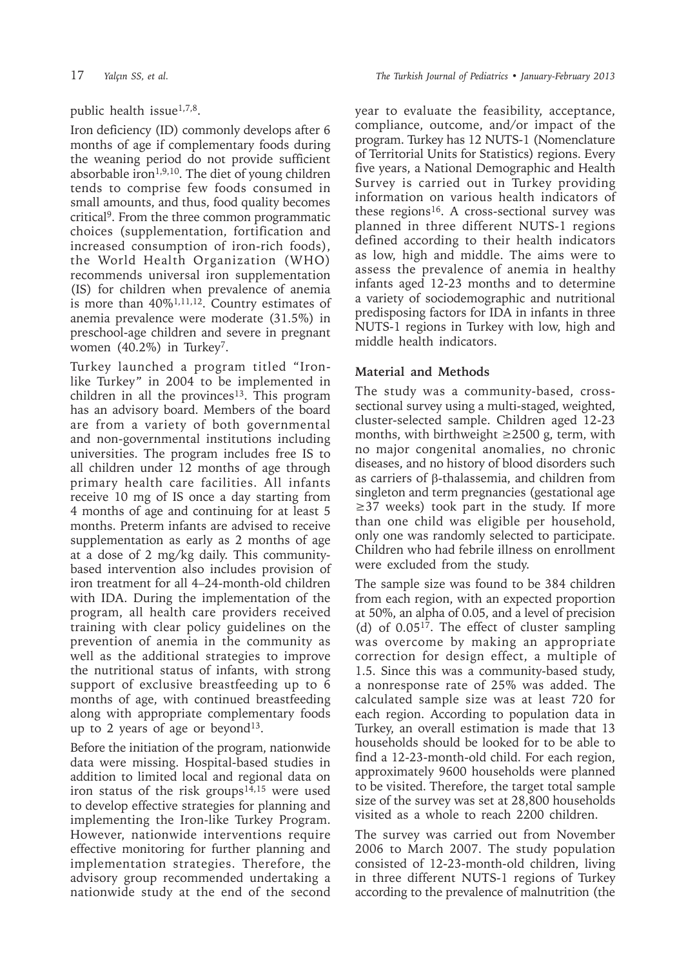### public health issue<sup>1,7,8</sup>.

Iron deficiency (ID) commonly develops after 6 months of age if complementary foods during the weaning period do not provide sufficient absorbable iron<sup>1,9,10</sup>. The diet of young children tends to comprise few foods consumed in small amounts, and thus, food quality becomes critical9. From the three common programmatic choices (supplementation, fortification and increased consumption of iron-rich foods), the World Health Organization (WHO) recommends universal iron supplementation (IS) for children when prevalence of anemia is more than 40%1,11,12. Country estimates of anemia prevalence were moderate (31.5%) in preschool-age children and severe in pregnant women  $(40.2\%)$  in Turkey<sup>7</sup>.

Turkey launched a program titled "Ironlike Turkey" in 2004 to be implemented in children in all the provinces<sup>13</sup>. This program has an advisory board. Members of the board are from a variety of both governmental and non-governmental institutions including universities. The program includes free IS to all children under 12 months of age through primary health care facilities. All infants receive 10 mg of IS once a day starting from 4 months of age and continuing for at least 5 months. Preterm infants are advised to receive supplementation as early as 2 months of age at a dose of 2 mg/kg daily. This communitybased intervention also includes provision of iron treatment for all 4–24-month-old children with IDA. During the implementation of the program, all health care providers received training with clear policy guidelines on the prevention of anemia in the community as well as the additional strategies to improve the nutritional status of infants, with strong support of exclusive breastfeeding up to 6 months of age, with continued breastfeeding along with appropriate complementary foods up to 2 years of age or beyond<sup>13</sup>.

Before the initiation of the program, nationwide data were missing. Hospital-based studies in addition to limited local and regional data on iron status of the risk groups<sup>14,15</sup> were used to develop effective strategies for planning and implementing the Iron-like Turkey Program. However, nationwide interventions require effective monitoring for further planning and implementation strategies. Therefore, the advisory group recommended undertaking a nationwide study at the end of the second year to evaluate the feasibility, acceptance, compliance, outcome, and/or impact of the program. Turkey has 12 NUTS-1 (Nomenclature of Territorial Units for Statistics) regions. Every five years, a National Demographic and Health Survey is carried out in Turkey providing information on various health indicators of these regions<sup>16</sup>. A cross-sectional survey was planned in three different NUTS-1 regions defined according to their health indicators as low, high and middle. The aims were to assess the prevalence of anemia in healthy infants aged 12-23 months and to determine a variety of sociodemographic and nutritional predisposing factors for IDA in infants in three NUTS-1 regions in Turkey with low, high and middle health indicators.

### **Material and Methods**

The study was a community-based, crosssectional survey using a multi-staged, weighted, cluster-selected sample. Children aged 12-23 months, with birthweight  $\geq$  2500 g, term, with no major congenital anomalies, no chronic diseases, and no history of blood disorders such as carriers of β-thalassemia, and children from singleton and term pregnancies (gestational age ≥37 weeks) took part in the study. If more than one child was eligible per household, only one was randomly selected to participate. Children who had febrile illness on enrollment were excluded from the study.

The sample size was found to be 384 children from each region, with an expected proportion at 50%, an alpha of 0.05, and a level of precision (d) of 0.0517. The effect of cluster sampling was overcome by making an appropriate correction for design effect, a multiple of 1.5. Since this was a community-based study, a nonresponse rate of 25% was added. The calculated sample size was at least 720 for each region. According to population data in Turkey, an overall estimation is made that 13 households should be looked for to be able to find a 12-23-month-old child. For each region, approximately 9600 households were planned to be visited. Therefore, the target total sample size of the survey was set at 28,800 households visited as a whole to reach 2200 children.

The survey was carried out from November 2006 to March 2007. The study population consisted of 12-23-month-old children, living in three different NUTS-1 regions of Turkey according to the prevalence of malnutrition (the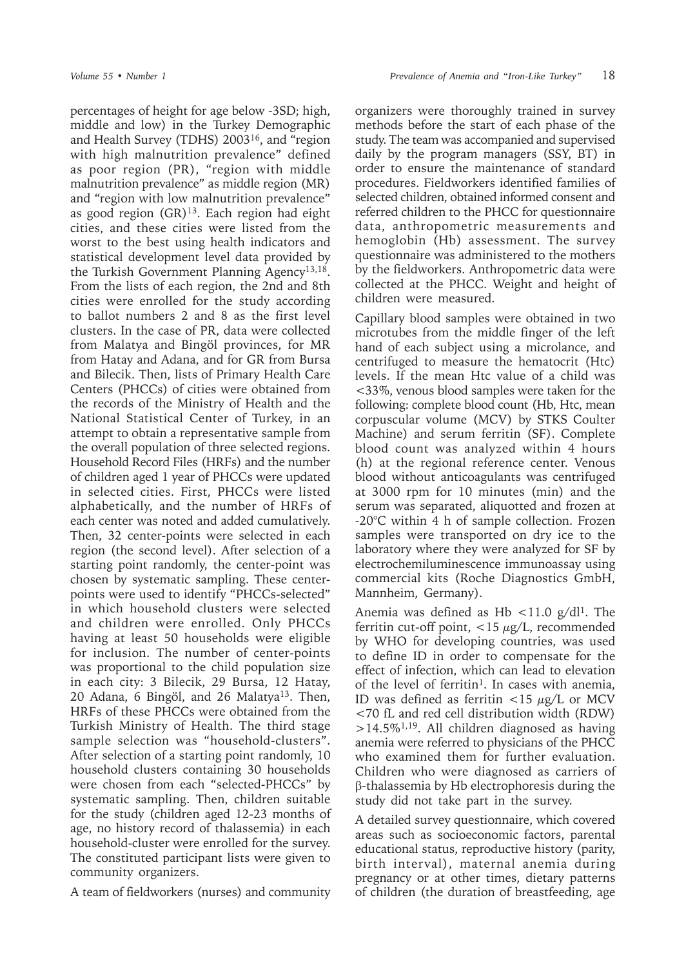percentages of height for age below -3SD; high, middle and low) in the Turkey Demographic and Health Survey (TDHS) 200316, and "region with high malnutrition prevalence" defined as poor region (PR), "region with middle malnutrition prevalence" as middle region (MR) and "region with low malnutrition prevalence" as good region  $(GR)^{13}$ . Each region had eight cities, and these cities were listed from the worst to the best using health indicators and statistical development level data provided by the Turkish Government Planning Agency<sup>13,18</sup>. From the lists of each region, the 2nd and 8th cities were enrolled for the study according to ballot numbers 2 and 8 as the first level clusters. In the case of PR, data were collected from Malatya and Bingöl provinces, for MR from Hatay and Adana, and for GR from Bursa and Bilecik. Then, lists of Primary Health Care Centers (PHCCs) of cities were obtained from the records of the Ministry of Health and the National Statistical Center of Turkey, in an attempt to obtain a representative sample from the overall population of three selected regions. Household Record Files (HRFs) and the number of children aged 1 year of PHCCs were updated in selected cities. First, PHCCs were listed alphabetically, and the number of HRFs of each center was noted and added cumulatively. Then, 32 center-points were selected in each region (the second level). After selection of a starting point randomly, the center-point was chosen by systematic sampling. These centerpoints were used to identify "PHCCs-selected" in which household clusters were selected and children were enrolled. Only PHCCs having at least 50 households were eligible for inclusion. The number of center-points was proportional to the child population size in each city: 3 Bilecik, 29 Bursa, 12 Hatay, 20 Adana, 6 Bingöl, and 26 Malatya13. Then, HRFs of these PHCCs were obtained from the Turkish Ministry of Health. The third stage sample selection was "household-clusters". After selection of a starting point randomly, 10 household clusters containing 30 households were chosen from each "selected-PHCCs" by systematic sampling. Then, children suitable for the study (children aged 12-23 months of age, no history record of thalassemia) in each household-cluster were enrolled for the survey. The constituted participant lists were given to community organizers.

A team of fieldworkers (nurses) and community

organizers were thoroughly trained in survey methods before the start of each phase of the study. The team was accompanied and supervised daily by the program managers (SSY, BT) in order to ensure the maintenance of standard procedures. Fieldworkers identified families of selected children, obtained informed consent and referred children to the PHCC for questionnaire data, anthropometric measurements and hemoglobin (Hb) assessment. The survey questionnaire was administered to the mothers by the fieldworkers. Anthropometric data were collected at the PHCC. Weight and height of children were measured.

Capillary blood samples were obtained in two microtubes from the middle finger of the left hand of each subject using a microlance, and centrifuged to measure the hematocrit (Htc) levels. If the mean Htc value of a child was <33%, venous blood samples were taken for the following: complete blood count (Hb, Htc, mean corpuscular volume (MCV) by STKS Coulter Machine) and serum ferritin (SF). Complete blood count was analyzed within 4 hours (h) at the regional reference center. Venous blood without anticoagulants was centrifuged at 3000 rpm for 10 minutes (min) and the serum was separated, aliquotted and frozen at -20°C within 4 h of sample collection. Frozen samples were transported on dry ice to the laboratory where they were analyzed for SF by electrochemiluminescence immunoassay using commercial kits (Roche Diagnostics GmbH, Mannheim, Germany).

Anemia was defined as Hb  $\lt 11.0$  g/dl<sup>1</sup>. The ferritin cut-off point,  $\langle 15 \mu g/L \rangle$ , recommended by WHO for developing countries, was used to define ID in order to compensate for the effect of infection, which can lead to elevation of the level of ferritin<sup>1</sup>. In cases with anemia, ID was defined as ferritin  $\langle 15 \mu g/L \rangle$  or MCV <70 fL and red cell distribution width (RDW)  $>14.5\%$ <sup>1,19</sup>. All children diagnosed as having anemia were referred to physicians of the PHCC who examined them for further evaluation. Children who were diagnosed as carriers of β-thalassemia by Hb electrophoresis during the study did not take part in the survey.

A detailed survey questionnaire, which covered areas such as socioeconomic factors, parental educational status, reproductive history (parity, birth interval), maternal anemia during pregnancy or at other times, dietary patterns of children (the duration of breastfeeding, age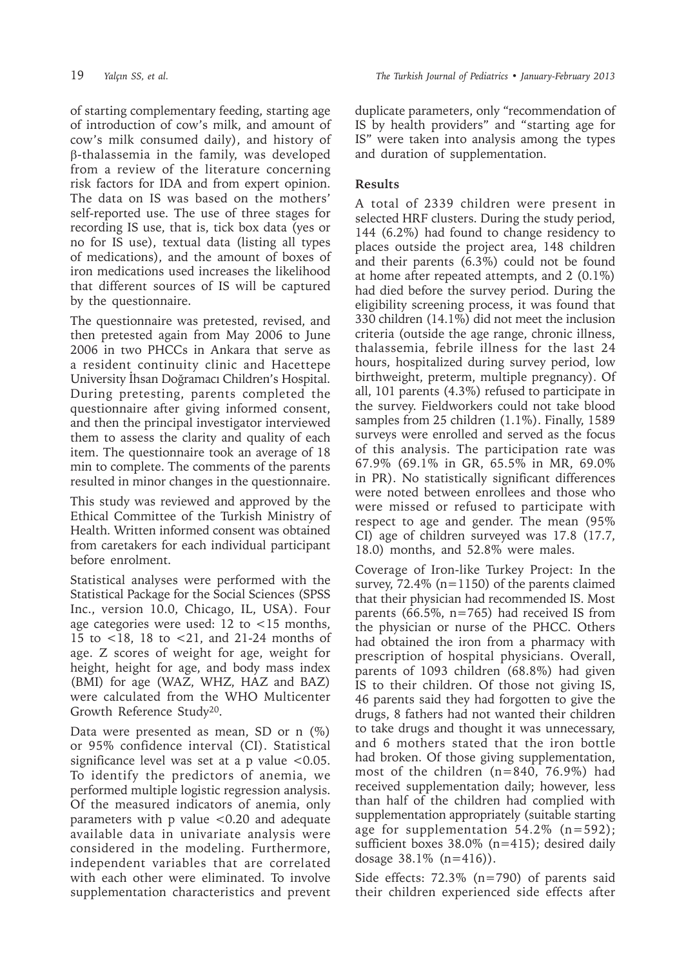of starting complementary feeding, starting age of introduction of cow's milk, and amount of cow's milk consumed daily), and history of β-thalassemia in the family, was developed from a review of the literature concerning risk factors for IDA and from expert opinion. The data on IS was based on the mothers' self-reported use. The use of three stages for recording IS use, that is, tick box data (yes or no for IS use), textual data (listing all types of medications), and the amount of boxes of iron medications used increases the likelihood that different sources of IS will be captured by the questionnaire.

The questionnaire was pretested, revised, and then pretested again from May 2006 to June 2006 in two PHCCs in Ankara that serve as a resident continuity clinic and Hacettepe University İhsan Doğramacı Children's Hospital. During pretesting, parents completed the questionnaire after giving informed consent, and then the principal investigator interviewed them to assess the clarity and quality of each item. The questionnaire took an average of 18 min to complete. The comments of the parents resulted in minor changes in the questionnaire.

This study was reviewed and approved by the Ethical Committee of the Turkish Ministry of Health. Written informed consent was obtained from caretakers for each individual participant before enrolment.

Statistical analyses were performed with the Statistical Package for the Social Sciences (SPSS Inc., version 10.0, Chicago, IL, USA). Four age categories were used: 12 to  $\lt 15$  months, 15 to <18, 18 to <21, and 21-24 months of age. Z scores of weight for age, weight for height, height for age, and body mass index (BMI) for age (WAZ, WHZ, HAZ and BAZ) were calculated from the WHO Multicenter Growth Reference Study20.

Data were presented as mean, SD or n  $(\%)$ or 95% confidence interval (CI). Statistical significance level was set at a  $p$  value <0.05. To identify the predictors of anemia, we performed multiple logistic regression analysis. Of the measured indicators of anemia, only parameters with p value <0.20 and adequate available data in univariate analysis were considered in the modeling. Furthermore, independent variables that are correlated with each other were eliminated. To involve supplementation characteristics and prevent duplicate parameters, only "recommendation of IS by health providers" and "starting age for IS" were taken into analysis among the types and duration of supplementation.

# **Results**

A total of 2339 children were present in selected HRF clusters. During the study period, 144 (6.2%) had found to change residency to places outside the project area, 148 children and their parents (6.3%) could not be found at home after repeated attempts, and 2 (0.1%) had died before the survey period. During the eligibility screening process, it was found that 330 children (14.1%) did not meet the inclusion criteria (outside the age range, chronic illness, thalassemia, febrile illness for the last 24 hours, hospitalized during survey period, low birthweight, preterm, multiple pregnancy). Of all, 101 parents (4.3%) refused to participate in the survey. Fieldworkers could not take blood samples from 25 children (1.1%). Finally, 1589 surveys were enrolled and served as the focus of this analysis. The participation rate was 67.9% (69.1% in GR, 65.5% in MR, 69.0% in PR). No statistically significant differences were noted between enrollees and those who were missed or refused to participate with respect to age and gender. The mean (95% CI) age of children surveyed was 17.8 (17.7, 18.0) months, and 52.8% were males.

Coverage of Iron-like Turkey Project: In the survey, 72.4% (n=1150) of the parents claimed that their physician had recommended IS. Most parents (66.5%, n=765) had received IS from the physician or nurse of the PHCC. Others had obtained the iron from a pharmacy with prescription of hospital physicians. Overall, parents of 1093 children (68.8%) had given IS to their children. Of those not giving IS, 46 parents said they had forgotten to give the drugs, 8 fathers had not wanted their children to take drugs and thought it was unnecessary, and 6 mothers stated that the iron bottle had broken. Of those giving supplementation, most of the children (n=840, 76.9%) had received supplementation daily; however, less than half of the children had complied with supplementation appropriately (suitable starting age for supplementation 54.2% (n=592); sufficient boxes 38.0% (n=415); desired daily dosage 38.1% (n=416)).

Side effects: 72.3% (n=790) of parents said their children experienced side effects after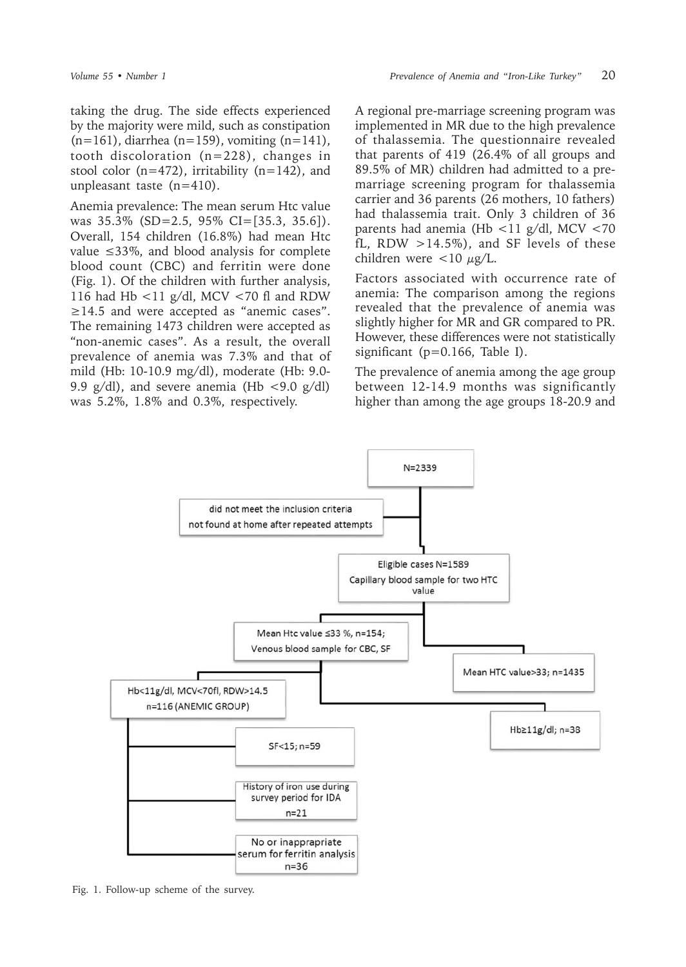taking the drug. The side effects experienced by the majority were mild, such as constipation  $(n=161)$ , diarrhea (n=159), vomiting (n=141), tooth discoloration (n=228), changes in stool color ( $n=472$ ), irritability ( $n=142$ ), and unpleasant taste (n=410).

Anemia prevalence: The mean serum Htc value was 35.3% (SD=2.5, 95% CI=[35.3, 35.6]). Overall, 154 children (16.8%) had mean Htc value ≤33%, and blood analysis for complete blood count (CBC) and ferritin were done (Fig. 1). Of the children with further analysis, 116 had Hb <11 g/dl, MCV <70 fl and RDW  $\geq$ 14.5 and were accepted as "anemic cases". The remaining 1473 children were accepted as "non-anemic cases". As a result, the overall prevalence of anemia was 7.3% and that of mild (Hb: 10-10.9 mg/dl), moderate (Hb: 9.0- 9.9  $g/dl$ ), and severe anemia (Hb <9.0  $g/dl$ ) was 5.2%, 1.8% and 0.3%, respectively.

A regional pre-marriage screening program was implemented in MR due to the high prevalence of thalassemia. The questionnaire revealed that parents of 419 (26.4% of all groups and 89.5% of MR) children had admitted to a premarriage screening program for thalassemia carrier and 36 parents (26 mothers, 10 fathers) had thalassemia trait. Only 3 children of 36 parents had anemia (Hb <11 g/dl, MCV <70 fL, RDW  $>14.5\%$ ), and SF levels of these children were  $\langle 10 \mu g/L$ .

Factors associated with occurrence rate of anemia: The comparison among the regions revealed that the prevalence of anemia was slightly higher for MR and GR compared to PR. However, these differences were not statistically significant (p=0.166, Table I).

The prevalence of anemia among the age group between 12-14.9 months was significantly higher than among the age groups 18-20.9 and



Fig. 1. Follow-up scheme of the survey.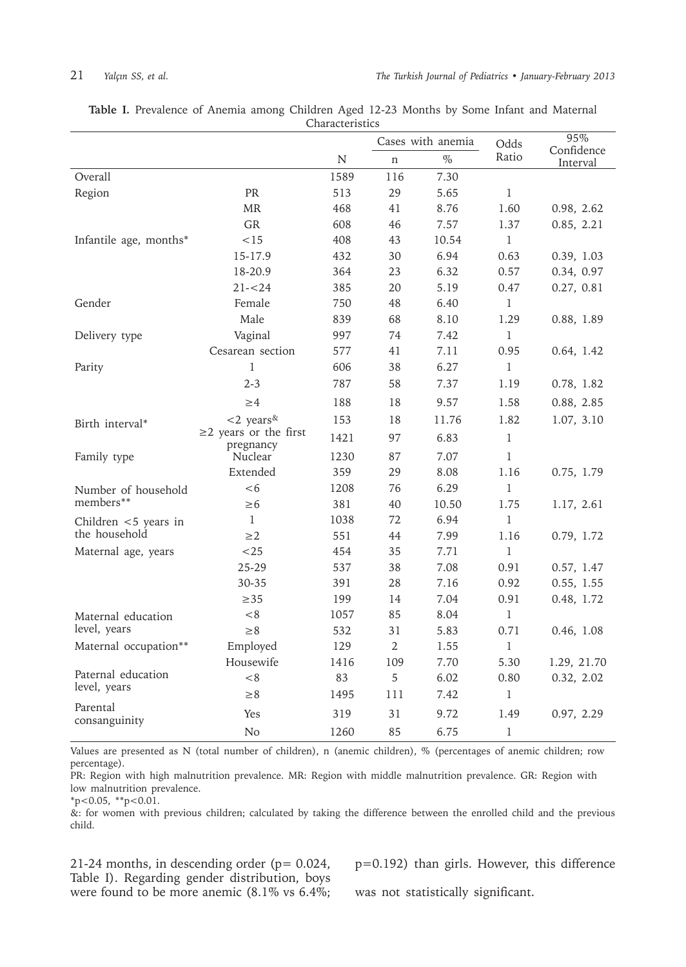|                           |                                          |           |                | Cases with anemia |               | 95%                    |  |
|---------------------------|------------------------------------------|-----------|----------------|-------------------|---------------|------------------------|--|
|                           |                                          | ${\bf N}$ | $\mathbf n$    | $\%$              | Odds<br>Ratio | Confidence<br>Interval |  |
| Overall                   |                                          | 1589      | 116            | 7.30              |               |                        |  |
| Region                    | PR                                       | 513       | 29             | 5.65              | $\mathbf{1}$  |                        |  |
|                           | <b>MR</b>                                | 468       | 41             | 8.76              | 1.60          | 0.98, 2.62             |  |
|                           | GR                                       | 608       | 46             | 7.57              | 1.37          | 0.85, 2.21             |  |
| Infantile age, months*    | < 15                                     | 408       | 43             | 10.54             | $\mathbf{1}$  |                        |  |
|                           | 15-17.9                                  | 432       | 30             | 6.94              | 0.63          | 0.39, 1.03             |  |
|                           | 18-20.9                                  | 364       | 23             | 6.32              | 0.57          | 0.34, 0.97             |  |
|                           | $21 - 24$                                | 385       | 20             | 5.19              | 0.47          | 0.27, 0.81             |  |
| Gender                    | Female                                   | 750       | 48             | 6.40              | $\mathbf{1}$  |                        |  |
|                           | Male                                     | 839       | 68             | 8.10              | 1.29          | 0.88, 1.89             |  |
| Delivery type             | Vaginal                                  | 997       | 74             | 7.42              | $\mathbf{1}$  |                        |  |
|                           | Cesarean section                         | 577       | 41             | 7.11              | 0.95          | 0.64, 1.42             |  |
| Parity                    | $\mathbf{1}$                             | 606       | 38             | 6.27              | $\mathbf{1}$  |                        |  |
|                           | $2 - 3$                                  | 787       | 58             | 7.37              | 1.19          | 0.78, 1.82             |  |
|                           | $\geq 4$                                 | 188       | 18             | 9.57              | 1.58          | 0.88, 2.85             |  |
| Birth interval*           | $<$ 2 years <sup>&amp;</sup>             | 153       | 18             | 11.76             | 1.82          | 1.07, 3.10             |  |
|                           | $\geq$ 2 years or the first<br>pregnancy | 1421      | 97             | 6.83              | 1             |                        |  |
| Family type               | Nuclear                                  | 1230      | 87             | 7.07              | 1             |                        |  |
|                           | Extended                                 | 359       | 29             | 8.08              | 1.16          | 0.75, 1.79             |  |
| Number of household       | $<$ 6                                    | 1208      | 76             | 6.29              | $\mathbf{1}$  |                        |  |
| members**                 | $\geq 6$                                 | 381       | 40             | 10.50             | 1.75          | 1.17, 2.61             |  |
| Children $<$ 5 years in   | 1                                        | 1038      | 72             | 6.94              | 1             |                        |  |
| the household             | $\geq$ 2                                 | 551       | 44             | 7.99              | 1.16          | 0.79, 1.72             |  |
| Maternal age, years       | $<$ 25                                   | 454       | 35             | 7.71              | $\mathbf{1}$  |                        |  |
|                           | $25 - 29$                                | 537       | 38             | 7.08              | 0.91          | 0.57, 1.47             |  |
|                           | 30-35                                    | 391       | 28             | 7.16              | 0.92          | 0.55, 1.55             |  |
|                           | $\geq$ 35                                | 199       | 14             | 7.04              | 0.91          | 0.48, 1.72             |  |
| Maternal education        | < 8                                      | 1057      | 85             | 8.04              | 1             |                        |  |
| level, years              | $\geq 8$                                 | 532       | 31             | 5.83              | 0.71          | 0.46, 1.08             |  |
| Maternal occupation**     | Employed                                 | 129       | $\overline{2}$ | 1.55              | $\mathbf{1}$  |                        |  |
|                           | Housewife                                | 1416      | 109            | 7.70              | 5.30          | 1.29, 21.70            |  |
| Paternal education        | < 8                                      | 83        | 5              | 6.02              | 0.80          | 0.32, 2.02             |  |
| level, years              | $\geq 8$                                 | 1495      | 111            | 7.42              | 1             |                        |  |
| Parental<br>consanguinity | Yes                                      | 319       | 31             | 9.72              | 1.49          | 0.97, 2.29             |  |
|                           | No                                       | 1260      | 85             | 6.75              | 1             |                        |  |

**Table I.** Prevalence of Anemia among Children Aged 12-23 Months by Some Infant and Maternal Characteristics

Values are presented as N (total number of children), n (anemic children), % (percentages of anemic children; row percentage).

PR: Region with high malnutrition prevalence. MR: Region with middle malnutrition prevalence. GR: Region with low malnutrition prevalence.

\*p<0.05, \*\*p<0.01.

&: for women with previous children; calculated by taking the difference between the enrolled child and the previous child.

21-24 months, in descending order ( $p= 0.024$ , Table I). Regarding gender distribution, boys were found to be more anemic (8.1% vs 6.4%; p=0.192) than girls. However, this difference was not statistically significant.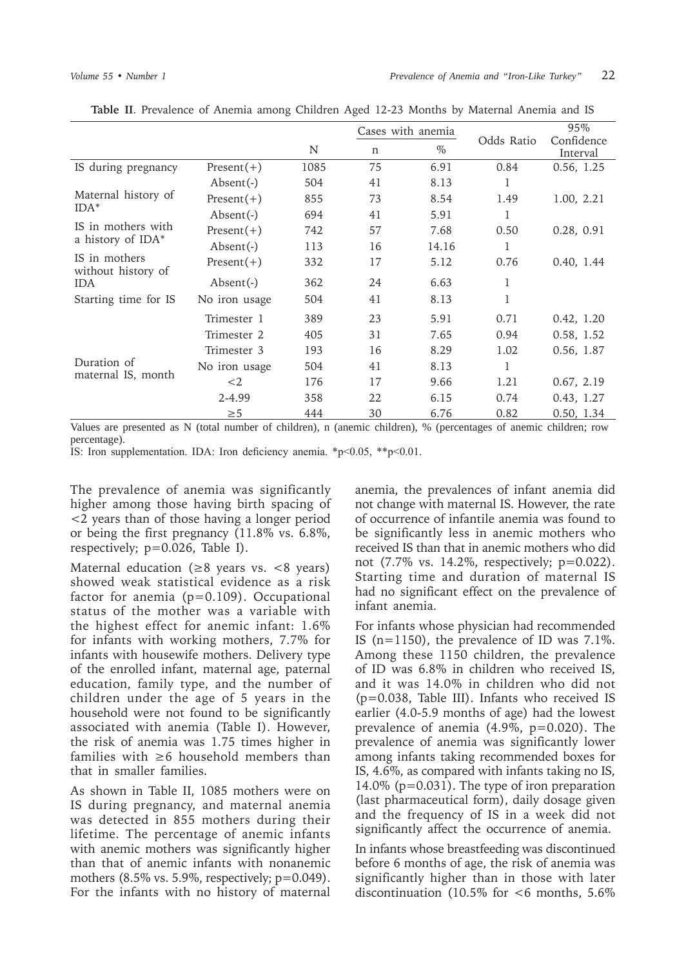|                                     |                           |      | Cases with anemia |       |            | 95%                    |
|-------------------------------------|---------------------------|------|-------------------|-------|------------|------------------------|
|                                     |                           | N    | $\mathsf{n}$      | $\%$  | Odds Ratio | Confidence<br>Interval |
| IS during pregnancy                 | $Present(+)$              | 1085 | 75                | 6.91  | 0.84       | 0.56, 1.25             |
|                                     | $\text{Absent}(-)$        | 504  | 41                | 8.13  | 1          |                        |
| Maternal history of                 | $Present(+)$              | 855  | 73                | 8.54  | 1.49       | 1.00, 2.21             |
| $IDA*$                              | $\text{Absent}(\text{-})$ | 694  | 41                | 5.91  | 1          |                        |
| IS in mothers with                  | $Present(+)$              | 742  | 57                | 7.68  | 0.50       | 0.28, 0.91             |
| a history of IDA*                   | $\text{Absent}(-)$        | 113  | 16                | 14.16 | 1          |                        |
| IS in mothers<br>without history of | $Present(+)$              | 332  | 17                | 5.12  | 0.76       | 0.40, 1.44             |
| <b>IDA</b>                          | $\text{Absent}(-)$        | 362  | 24                | 6.63  | 1          |                        |
| Starting time for IS                | No iron usage             | 504  | 41                | 8.13  | 1          |                        |
|                                     | Trimester 1               | 389  | 23                | 5.91  | 0.71       | 0.42, 1.20             |
|                                     | Trimester 2               | 405  | 31                | 7.65  | 0.94       | 0.58, 1.52             |
|                                     | Trimester 3               | 193  | 16                | 8.29  | 1.02       | 0.56, 1.87             |
| Duration of                         | No iron usage             | 504  | 41                | 8.13  | 1          |                        |
| maternal IS, month                  | $<$ 2                     | 176  | 17                | 9.66  | 1.21       | 0.67, 2.19             |
|                                     | 2-4.99                    | 358  | 22                | 6.15  | 0.74       | 0.43, 1.27             |
|                                     | $\geq 5$                  | 444  | 30                | 6.76  | 0.82       | 0.50, 1.34             |

**Table II**. Prevalence of Anemia among Children Aged 12-23 Months by Maternal Anemia and IS

Values are presented as N (total number of children), n (anemic children), % (percentages of anemic children; row percentage).

IS: Iron supplementation. IDA: Iron deficiency anemia. \*p<0.05, \*\*p<0.01.

The prevalence of anemia was significantly higher among those having birth spacing of <2 years than of those having a longer period or being the first pregnancy (11.8% vs. 6.8%, respectively; p=0.026, Table I).

Maternal education ( $\geq$ 8 years vs. <8 years) showed weak statistical evidence as a risk factor for anemia (p=0.109). Occupational status of the mother was a variable with the highest effect for anemic infant: 1.6% for infants with working mothers, 7.7% for infants with housewife mothers. Delivery type of the enrolled infant, maternal age, paternal education, family type, and the number of children under the age of 5 years in the household were not found to be significantly associated with anemia (Table I). However, the risk of anemia was 1.75 times higher in families with ≥6 household members than that in smaller families.

As shown in Table II, 1085 mothers were on IS during pregnancy, and maternal anemia was detected in 855 mothers during their lifetime. The percentage of anemic infants with anemic mothers was significantly higher than that of anemic infants with nonanemic mothers  $(8.5\% \text{ vs. } 5.9\%$ , respectively;  $p=0.049$ ). For the infants with no history of maternal

anemia, the prevalences of infant anemia did not change with maternal IS. However, the rate of occurrence of infantile anemia was found to be significantly less in anemic mothers who received IS than that in anemic mothers who did not (7.7% vs. 14.2%, respectively; p=0.022). Starting time and duration of maternal IS had no significant effect on the prevalence of infant anemia.

For infants whose physician had recommended IS ( $n=1150$ ), the prevalence of ID was 7.1%. Among these 1150 children, the prevalence of ID was 6.8% in children who received IS, and it was 14.0% in children who did not (p=0.038, Table III). Infants who received IS earlier (4.0-5.9 months of age) had the lowest prevalence of anemia (4.9%, p=0.020). The prevalence of anemia was significantly lower among infants taking recommended boxes for IS, 4.6%, as compared with infants taking no IS, 14.0% (p=0.031). The type of iron preparation (last pharmaceutical form), daily dosage given and the frequency of IS in a week did not significantly affect the occurrence of anemia.

In infants whose breastfeeding was discontinued before 6 months of age, the risk of anemia was significantly higher than in those with later discontinuation (10.5% for  $<6$  months, 5.6%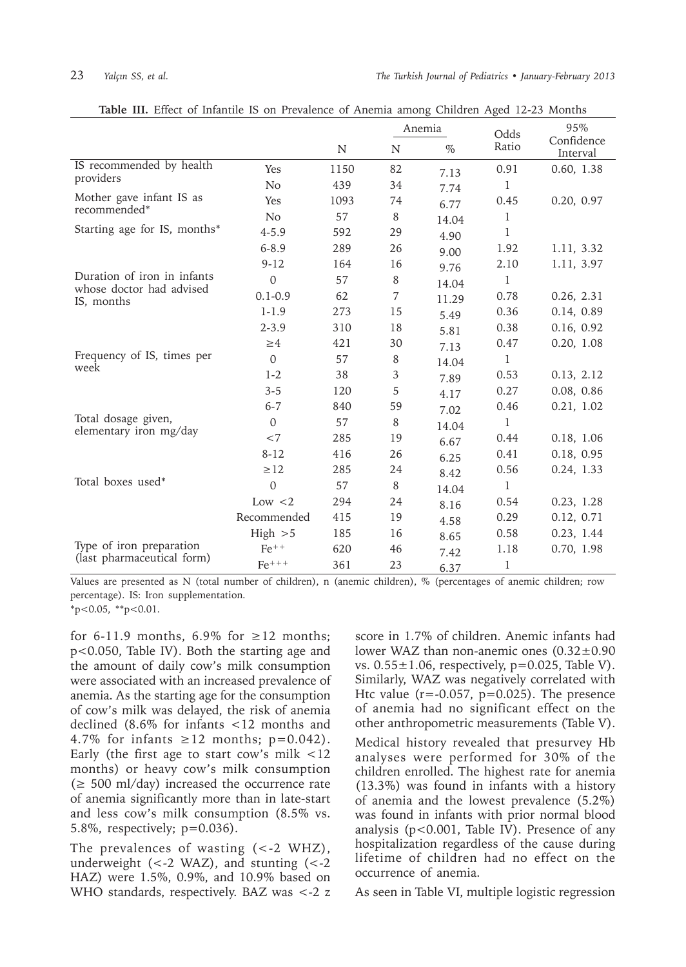|                                                         |                | Anemia |    |       | Odds         | 95%                    |
|---------------------------------------------------------|----------------|--------|----|-------|--------------|------------------------|
|                                                         |                | N      | N  | $\%$  | Ratio        | Confidence<br>Interval |
| IS recommended by health                                | Yes            | 1150   | 82 | 7.13  | 0.91         | 0.60, 1.38             |
| providers                                               | No             | 439    | 34 | 7.74  | 1            |                        |
| Mother gave infant IS as                                | Yes            | 1093   | 74 | 6.77  | 0.45         | 0.20, 0.97             |
| recommended*                                            | N <sub>o</sub> | 57     | 8  | 14.04 | 1            |                        |
| Starting age for IS, months*                            | $4 - 5.9$      | 592    | 29 | 4.90  | 1            |                        |
|                                                         | $6 - 8.9$      | 289    | 26 | 9.00  | 1.92         | 1.11, 3.32             |
|                                                         | $9 - 12$       | 164    | 16 | 9.76  | 2.10         | 1.11, 3.97             |
| Duration of iron in infants<br>whose doctor had advised | $\Omega$       | 57     | 8  | 14.04 | 1            |                        |
| IS, months                                              | $0.1 - 0.9$    | 62     | 7  | 11.29 | 0.78         | 0.26, 2.31             |
|                                                         | $1 - 1.9$      | 273    | 15 | 5.49  | 0.36         | 0.14, 0.89             |
|                                                         | $2 - 3.9$      | 310    | 18 | 5.81  | 0.38         | 0.16, 0.92             |
|                                                         | $\geq 4$       | 421    | 30 | 7.13  | 0.47         | 0.20, 1.08             |
| Frequency of IS, times per<br>week                      | $\Omega$       | 57     | 8  | 14.04 | 1            |                        |
|                                                         | $1-2$          | 38     | 3  | 7.89  | 0.53         | 0.13, 2.12             |
|                                                         | $3 - 5$        | 120    | 5  | 4.17  | 0.27         | 0.08, 0.86             |
|                                                         | $6 - 7$        | 840    | 59 | 7.02  | 0.46         | 0.21, 1.02             |
| Total dosage given,<br>elementary iron mg/day           | $\Omega$       | 57     | 8  | 14.04 | $\mathbf{1}$ |                        |
|                                                         | ${<}7$         | 285    | 19 | 6.67  | 0.44         | 0.18, 1.06             |
|                                                         | $8 - 12$       | 416    | 26 | 6.25  | 0.41         | 0.18, 0.95             |
|                                                         | $\geq$ 12      | 285    | 24 | 8.42  | 0.56         | 0.24, 1.33             |
| Total boxes used*                                       | $\Omega$       | 57     | 8  | 14.04 | 1            |                        |
|                                                         | Low $<$ 2      | 294    | 24 | 8.16  | 0.54         | 0.23, 1.28             |
|                                                         | Recommended    | 415    | 19 | 4.58  | 0.29         | 0.12, 0.71             |
|                                                         | High > 5       | 185    | 16 | 8.65  | 0.58         | 0.23, 1.44             |
| Type of iron preparation<br>(last pharmaceutical form)  | $Fe^{++}$      | 620    | 46 | 7.42  | 1.18         | 0.70, 1.98             |
|                                                         | $Fe^{+++}$     | 361    | 23 | 6.37  | 1            |                        |

**Table III.** Effect of Infantile IS on Prevalence of Anemia among Children Aged 12-23 Months

Values are presented as N (total number of children), n (anemic children), % (percentages of anemic children; row percentage). IS: Iron supplementation.

 $*p<0.05$ ,  $*p<0.01$ .

for 6-11.9 months, 6.9% for  $\geq$ 12 months; p<0.050, Table IV). Both the starting age and the amount of daily cow's milk consumption were associated with an increased prevalence of anemia. As the starting age for the consumption of cow's milk was delayed, the risk of anemia declined (8.6% for infants <12 months and 4.7% for infants  $\geq 12$  months; p=0.042). Early (the first age to start cow's milk <12 months) or heavy cow's milk consumption  $(\geq 500 \text{ ml/day})$  increased the occurrence rate of anemia significantly more than in late-start and less cow's milk consumption (8.5% vs. 5.8%, respectively; p=0.036).

The prevalences of wasting (<-2 WHZ), underweight  $(<-2$  WAZ), and stunting (<-2)HAZ) were 1.5%, 0.9%, and 10.9% based on WHO standards, respectively. BAZ was <-2 z score in 1.7% of children. Anemic infants had lower WAZ than non-anemic ones (0.32±0.90 vs.  $0.55 \pm 1.06$ , respectively, p=0.025, Table V). Similarly, WAZ was negatively correlated with Htc value ( $r = -0.057$ ,  $p = 0.025$ ). The presence of anemia had no significant effect on the other anthropometric measurements (Table V).

Medical history revealed that presurvey Hb analyses were performed for 30% of the children enrolled. The highest rate for anemia (13.3%) was found in infants with a history of anemia and the lowest prevalence (5.2%) was found in infants with prior normal blood analysis (p<0.001, Table IV). Presence of any hospitalization regardless of the cause during lifetime of children had no effect on the occurrence of anemia.

As seen in Table VI, multiple logistic regression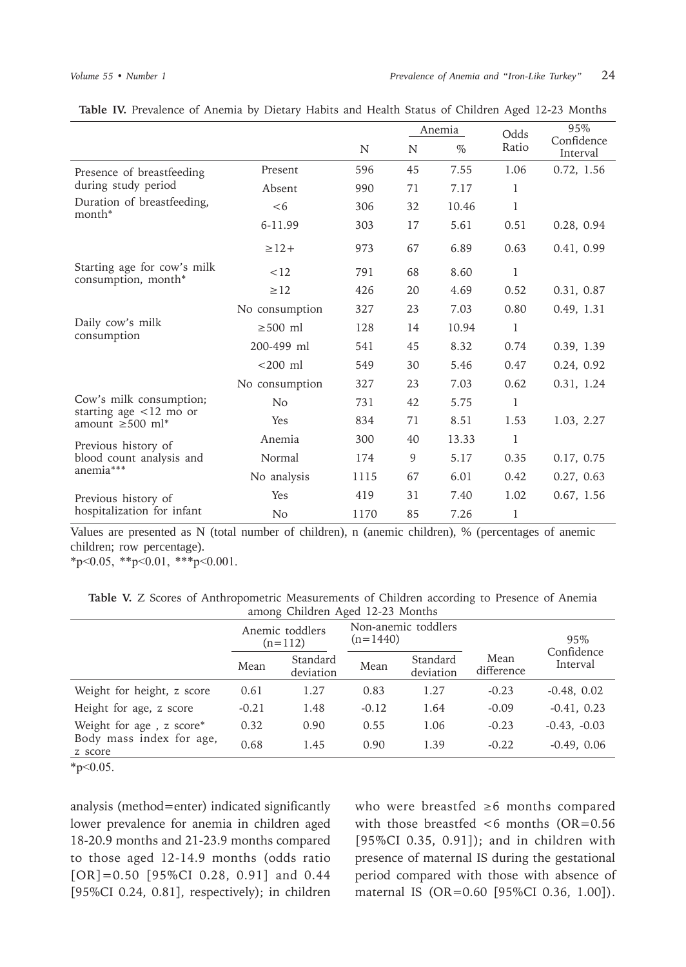|                                                      |                |      |    | Anemia | Odds         | 95%                    |  |
|------------------------------------------------------|----------------|------|----|--------|--------------|------------------------|--|
|                                                      |                | N    | N  | $\%$   | Ratio        | Confidence<br>Interval |  |
| Presence of breastfeeding                            | Present        | 596  | 45 | 7.55   | 1.06         | 0.72, 1.56             |  |
| during study period                                  | Absent         | 990  | 71 | 7.17   | $\mathbf{1}$ |                        |  |
| Duration of breastfeeding,<br>month*                 | <6             | 306  | 32 | 10.46  | 1            |                        |  |
|                                                      | 6-11.99        | 303  | 17 | 5.61   | 0.51         | 0.28, 0.94             |  |
|                                                      | $\geq$ 12+     | 973  | 67 | 6.89   | 0.63         | 0.41, 0.99             |  |
| Starting age for cow's milk<br>consumption, month*   | <12            | 791  | 68 | 8.60   | 1            |                        |  |
|                                                      | $\geq$ 12      | 426  | 20 | 4.69   | 0.52         | 0.31, 0.87             |  |
|                                                      | No consumption | 327  | 23 | 7.03   | 0.80         | 0.49, 1.31             |  |
| Daily cow's milk<br>consumption                      | $\geq$ 500 ml  | 128  | 14 | 10.94  | $\mathbf{1}$ |                        |  |
|                                                      | 200-499 ml     | 541  | 45 | 8.32   | 0.74         | 0.39, 1.39             |  |
|                                                      | $<$ 200 $ml$   | 549  | 30 | 5.46   | 0.47         | 0.24, 0.92             |  |
|                                                      | No consumption | 327  | 23 | 7.03   | 0.62         | 0.31, 1.24             |  |
| Cow's milk consumption;<br>starting age $<$ 12 mo or | N <sub>o</sub> | 731  | 42 | 5.75   | $\mathbf{1}$ |                        |  |
| amount $\geq 500$ ml <sup>*</sup>                    | <b>Yes</b>     | 834  | 71 | 8.51   | 1.53         | 1.03, 2.27             |  |
| Previous history of                                  | Anemia         | 300  | 40 | 13.33  | 1            |                        |  |
| blood count analysis and                             | Normal         | 174  | 9  | 5.17   | 0.35         | 0.17, 0.75             |  |
| anemia***                                            | No analysis    | 1115 | 67 | 6.01   | 0.42         | 0.27, 0.63             |  |
| Previous history of                                  | Yes            | 419  | 31 | 7.40   | 1.02         | 0.67, 1.56             |  |
| hospitalization for infant                           | N <sub>o</sub> | 1170 | 85 | 7.26   | 1            |                        |  |

|  |  | Table IV. Prevalence of Anemia by Dietary Habits and Health Status of Children Aged 12-23 Months |  |  |  |  |  |  |  |  |  |  |  |  |  |
|--|--|--------------------------------------------------------------------------------------------------|--|--|--|--|--|--|--|--|--|--|--|--|--|
|--|--|--------------------------------------------------------------------------------------------------|--|--|--|--|--|--|--|--|--|--|--|--|--|

Values are presented as N (total number of children), n (anemic children), % (percentages of anemic children; row percentage).

 $*p<0.05$ ,  $*p<0.01$ ,  $**p<0.001$ .

**Table V.** Z Scores of Anthropometric Measurements of Children according to Presence of Anemia among Children Aged 12-23 Months

|                                     | Anemic toddlers<br>$(n=112)$ |                       | $(n=1440)$ | Non-anemic toddlers   |                    | 95%<br>Confidence |  |
|-------------------------------------|------------------------------|-----------------------|------------|-----------------------|--------------------|-------------------|--|
|                                     | Mean                         | Standard<br>deviation | Mean       | Standard<br>deviation | Mean<br>difference | Interval          |  |
| Weight for height, z score          | 0.61                         | 1.27                  | 0.83       | 1.27                  | $-0.23$            | $-0.48, 0.02$     |  |
| Height for age, z score             | $-0.21$                      | 1.48                  | $-0.12$    | 1.64                  | $-0.09$            | $-0.41, 0.23$     |  |
| Weight for age, z score*            | 0.32                         | 0.90                  | 0.55       | 1.06                  | $-0.23$            | $-0.43, -0.03$    |  |
| Body mass index for age,<br>z score | 0.68                         | 1.45                  | 0.90       | 1.39                  | $-0.22$            | $-0.49, 0.06$     |  |

 $*p<0.05$ .

analysis (method=enter) indicated significantly lower prevalence for anemia in children aged 18-20.9 months and 21-23.9 months compared to those aged 12-14.9 months (odds ratio [OR]=0.50 [95%CI 0.28, 0.91] and 0.44 [95%CI 0.24, 0.81], respectively); in children who were breastfed ≥6 months compared with those breastfed  $<$  6 months (OR=0.56 [95%CI 0.35, 0.91]); and in children with presence of maternal IS during the gestational period compared with those with absence of maternal IS (OR=0.60 [95%CI 0.36, 1.00]).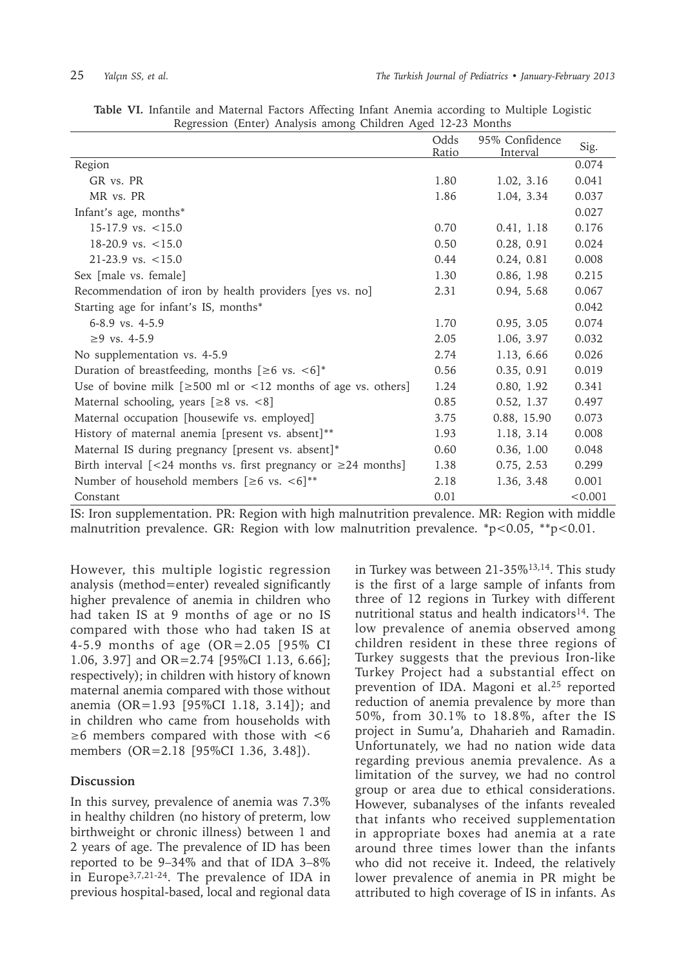| ပ                                                                   |               |                            |         |
|---------------------------------------------------------------------|---------------|----------------------------|---------|
|                                                                     | Odds<br>Ratio | 95% Confidence<br>Interval | Sig.    |
| Region                                                              |               |                            | 0.074   |
| GR vs. PR                                                           | 1.80          | 1.02, 3.16                 | 0.041   |
| MR vs. PR                                                           | 1.86          | 1.04, 3.34                 | 0.037   |
| Infant's age, months*                                               |               |                            | 0.027   |
| $15-17.9$ vs. $< 15.0$                                              | 0.70          | 0.41, 1.18                 | 0.176   |
| $18-20.9$ vs. $\lt 15.0$                                            | 0.50          | 0.28, 0.91                 | 0.024   |
| $21-23.9$ vs. $\lt 15.0$                                            | 0.44          | 0.24, 0.81                 | 0.008   |
| Sex [male vs. female]                                               | 1.30          | 0.86, 1.98                 | 0.215   |
| Recommendation of iron by health providers [yes vs. no]             | 2.31          | 0.94, 5.68                 | 0.067   |
| Starting age for infant's IS, months*                               |               |                            | 0.042   |
| 6-8.9 vs. 4-5.9                                                     | 1.70          | 0.95, 3.05                 | 0.074   |
| $≥9$ vs. 4-5.9                                                      | 2.05          | 1.06, 3.97                 | 0.032   |
| No supplementation vs. 4-5.9                                        | 2.74          | 1.13, 6.66                 | 0.026   |
| Duration of breastfeeding, months $[\geq 6$ vs. $\lt 6]^*$          | 0.56          | 0.35, 0.91                 | 0.019   |
| Use of bovine milk $[≥500$ ml or <12 months of age vs. others]      | 1.24          | 0.80, 1.92                 | 0.341   |
| Maternal schooling, years $[≥8$ vs. <8]                             | 0.85          | 0.52, 1.37                 | 0.497   |
| Maternal occupation [housewife vs. employed]                        | 3.75          | 0.88, 15.90                | 0.073   |
| History of maternal anemia [present vs. absent]**                   | 1.93          | 1.18, 3.14                 | 0.008   |
| Maternal IS during pregnancy [present vs. absent]*                  | 0.60          | 0.36, 1.00                 | 0.048   |
| Birth interval [<24 months vs. first pregnancy or $\geq$ 24 months] | 1.38          | 0.75, 2.53                 | 0.299   |
| Number of household members $[≥6$ vs. <6] <sup>**</sup>             | 2.18          | 1.36, 3.48                 | 0.001   |
| Constant                                                            | 0.01          |                            | < 0.001 |

**Table VI.** Infantile and Maternal Factors Affecting Infant Anemia according to Multiple Logistic Regression (Enter) Analysis among Children Aged 12-23 Months

IS: Iron supplementation. PR: Region with high malnutrition prevalence. MR: Region with middle malnutrition prevalence. GR: Region with low malnutrition prevalence. \*p<0.05, \*\*p<0.01.

However, this multiple logistic regression analysis (method=enter) revealed significantly higher prevalence of anemia in children who had taken IS at 9 months of age or no IS compared with those who had taken IS at 4-5.9 months of age (OR=2.05 [95% CI 1.06, 3.97] and OR=2.74 [95%CI 1.13, 6.66]; respectively); in children with history of known maternal anemia compared with those without anemia (OR=1.93 [95%CI 1.18, 3.14]); and in children who came from households with ≥6 members compared with those with <6 members (OR=2.18 [95%CI 1.36, 3.48]).

### **Discussion**

In this survey, prevalence of anemia was 7.3% in healthy children (no history of preterm, low birthweight or chronic illness) between 1 and 2 years of age. The prevalence of ID has been reported to be 9–34% and that of IDA 3–8% in Europe3,7,21-24. The prevalence of IDA in previous hospital-based, local and regional data

in Turkey was between 21-35%13,14. This study is the first of a large sample of infants from three of 12 regions in Turkey with different nutritional status and health indicators $14$ . The low prevalence of anemia observed among children resident in these three regions of Turkey suggests that the previous Iron-like Turkey Project had a substantial effect on prevention of IDA. Magoni et al.25 reported reduction of anemia prevalence by more than 50%, from 30.1% to 18.8%, after the IS project in Sumu'a, Dhaharieh and Ramadin. Unfortunately, we had no nation wide data regarding previous anemia prevalence. As a limitation of the survey, we had no control group or area due to ethical considerations. However, subanalyses of the infants revealed that infants who received supplementation in appropriate boxes had anemia at a rate around three times lower than the infants who did not receive it. Indeed, the relatively lower prevalence of anemia in PR might be attributed to high coverage of IS in infants. As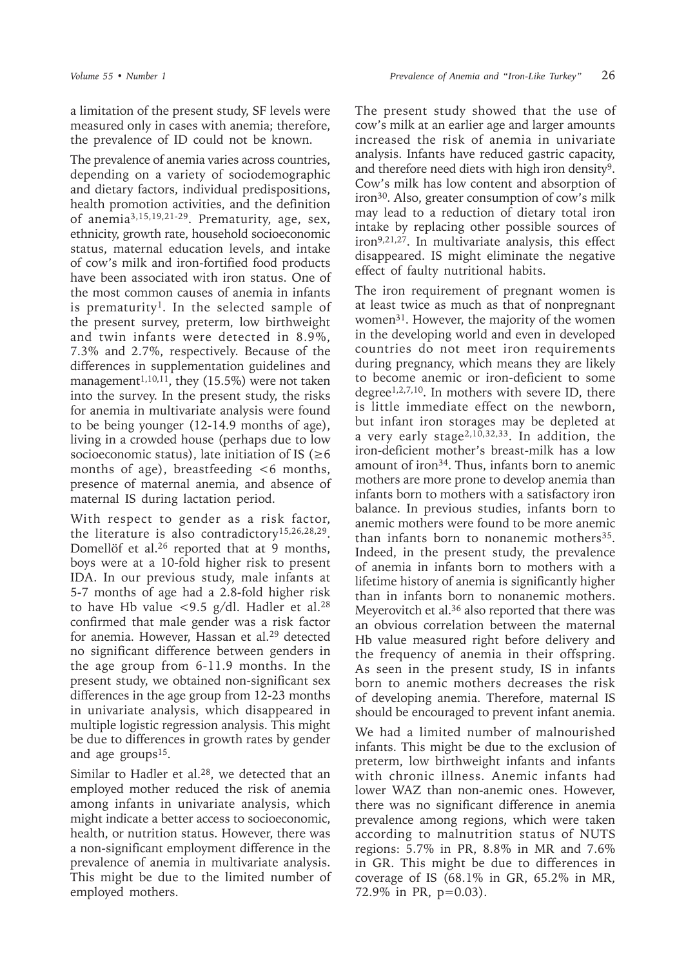a limitation of the present study, SF levels were measured only in cases with anemia; therefore, the prevalence of ID could not be known.

The prevalence of anemia varies across countries, depending on a variety of sociodemographic and dietary factors, individual predispositions, health promotion activities, and the definition of anemia3,15,19,21-29. Prematurity, age, sex, ethnicity, growth rate, household socioeconomic status, maternal education levels, and intake of cow's milk and iron-fortified food products have been associated with iron status. One of the most common causes of anemia in infants is prematurity<sup>1</sup>. In the selected sample of the present survey, preterm, low birthweight and twin infants were detected in 8.9%, 7.3% and 2.7%, respectively. Because of the differences in supplementation guidelines and management<sup>1,10,11</sup>, they (15.5%) were not taken into the survey. In the present study, the risks for anemia in multivariate analysis were found to be being younger (12-14.9 months of age), living in a crowded house (perhaps due to low socioeconomic status), late initiation of IS ( $\geq 6$ months of age), breastfeeding  $<6$  months, presence of maternal anemia, and absence of maternal IS during lactation period.

With respect to gender as a risk factor, the literature is also contradictory15,26,28,29. Domellöf et al.<sup>26</sup> reported that at 9 months, boys were at a 10-fold higher risk to present IDA. In our previous study, male infants at 5-7 months of age had a 2.8-fold higher risk to have Hb value <9.5 g/dl. Hadler et al.<sup>28</sup> confirmed that male gender was a risk factor for anemia. However, Hassan et al.<sup>29</sup> detected no significant difference between genders in the age group from 6-11.9 months. In the present study, we obtained non-significant sex differences in the age group from 12-23 months in univariate analysis, which disappeared in multiple logistic regression analysis. This might be due to differences in growth rates by gender and age groups<sup>15</sup>.

Similar to Hadler et al.<sup>28</sup>, we detected that an employed mother reduced the risk of anemia among infants in univariate analysis, which might indicate a better access to socioeconomic, health, or nutrition status. However, there was a non-significant employment difference in the prevalence of anemia in multivariate analysis. This might be due to the limited number of employed mothers.

The present study showed that the use of cow's milk at an earlier age and larger amounts increased the risk of anemia in univariate analysis. Infants have reduced gastric capacity, and therefore need diets with high iron density<sup>9</sup>. Cow's milk has low content and absorption of iron30. Also, greater consumption of cow's milk may lead to a reduction of dietary total iron intake by replacing other possible sources of  $iron<sup>9,21,27</sup>$ . In multivariate analysis, this effect disappeared. IS might eliminate the negative effect of faulty nutritional habits.

The iron requirement of pregnant women is at least twice as much as that of nonpregnant women<sup>31</sup>. However, the majority of the women in the developing world and even in developed countries do not meet iron requirements during pregnancy, which means they are likely to become anemic or iron-deficient to some degree<sup>1,2,7,10</sup>. In mothers with severe ID, there is little immediate effect on the newborn, but infant iron storages may be depleted at a very early stage<sup>2,10,32,33</sup>. In addition, the iron-deficient mother's breast-milk has a low amount of iron34. Thus, infants born to anemic mothers are more prone to develop anemia than infants born to mothers with a satisfactory iron balance. In previous studies, infants born to anemic mothers were found to be more anemic than infants born to nonanemic mothers $35$ . Indeed, in the present study, the prevalence of anemia in infants born to mothers with a lifetime history of anemia is significantly higher than in infants born to nonanemic mothers. Meyerovitch et al.36 also reported that there was an obvious correlation between the maternal Hb value measured right before delivery and the frequency of anemia in their offspring. As seen in the present study, IS in infants born to anemic mothers decreases the risk of developing anemia. Therefore, maternal IS should be encouraged to prevent infant anemia.

We had a limited number of malnourished infants. This might be due to the exclusion of preterm, low birthweight infants and infants with chronic illness. Anemic infants had lower WAZ than non-anemic ones. However, there was no significant difference in anemia prevalence among regions, which were taken according to malnutrition status of NUTS regions: 5.7% in PR, 8.8% in MR and 7.6% in GR. This might be due to differences in coverage of IS (68.1% in GR, 65.2% in MR, 72.9% in PR, p=0.03).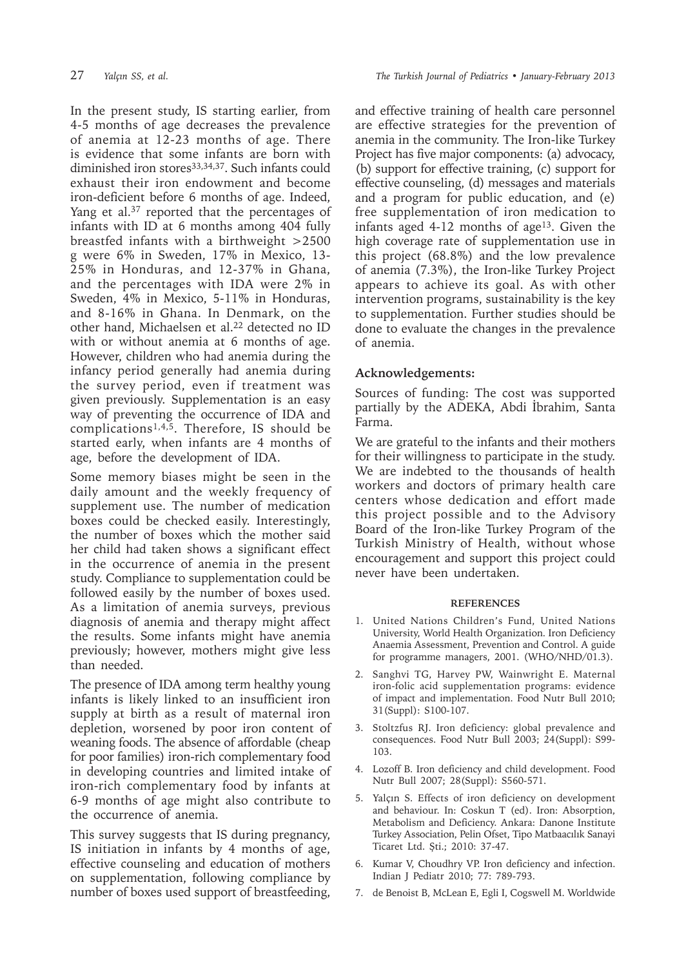In the present study, IS starting earlier, from 4-5 months of age decreases the prevalence of anemia at 12-23 months of age. There is evidence that some infants are born with diminished iron stores<sup>33,34,37</sup>. Such infants could exhaust their iron endowment and become iron-deficient before 6 months of age. Indeed, Yang et al.<sup>37</sup> reported that the percentages of infants with ID at 6 months among 404 fully breastfed infants with a birthweight >2500 g were 6% in Sweden, 17% in Mexico, 13- 25% in Honduras, and 12-37% in Ghana, and the percentages with IDA were 2% in Sweden, 4% in Mexico, 5-11% in Honduras, and 8-16% in Ghana. In Denmark, on the other hand, Michaelsen et al.<sup>22</sup> detected no ID with or without anemia at 6 months of age. However, children who had anemia during the infancy period generally had anemia during the survey period, even if treatment was given previously. Supplementation is an easy way of preventing the occurrence of IDA and complications<sup>1,4,5</sup>. Therefore, IS should be started early, when infants are 4 months of age, before the development of IDA.

Some memory biases might be seen in the daily amount and the weekly frequency of supplement use. The number of medication boxes could be checked easily. Interestingly, the number of boxes which the mother said her child had taken shows a significant effect in the occurrence of anemia in the present study. Compliance to supplementation could be followed easily by the number of boxes used. As a limitation of anemia surveys, previous diagnosis of anemia and therapy might affect the results. Some infants might have anemia previously; however, mothers might give less than needed.

The presence of IDA among term healthy young infants is likely linked to an insufficient iron supply at birth as a result of maternal iron depletion, worsened by poor iron content of weaning foods. The absence of affordable (cheap for poor families) iron-rich complementary food in developing countries and limited intake of iron-rich complementary food by infants at 6-9 months of age might also contribute to the occurrence of anemia.

This survey suggests that IS during pregnancy, IS initiation in infants by 4 months of age, effective counseling and education of mothers on supplementation, following compliance by number of boxes used support of breastfeeding,

and effective training of health care personnel are effective strategies for the prevention of anemia in the community. The Iron-like Turkey Project has five major components: (a) advocacy, (b) support for effective training, (c) support for effective counseling, (d) messages and materials and a program for public education, and (e) free supplementation of iron medication to infants aged 4-12 months of age<sup>13</sup>. Given the high coverage rate of supplementation use in this project (68.8%) and the low prevalence of anemia (7.3%), the Iron-like Turkey Project appears to achieve its goal. As with other intervention programs, sustainability is the key to supplementation. Further studies should be done to evaluate the changes in the prevalence of anemia.

# **Acknowledgements:**

Sources of funding: The cost was supported partially by the ADEKA, Abdi İbrahim, Santa Farma.

We are grateful to the infants and their mothers for their willingness to participate in the study. We are indebted to the thousands of health workers and doctors of primary health care centers whose dedication and effort made this project possible and to the Advisory Board of the Iron-like Turkey Program of the Turkish Ministry of Health, without whose encouragement and support this project could never have been undertaken.

## **REFERENCES**

- 1. United Nations Children's Fund, United Nations University, World Health Organization. Iron Deficiency Anaemia Assessment, Prevention and Control. A guide for programme managers, 2001. (WHO/NHD/01.3).
- 2. Sanghvi TG, Harvey PW, Wainwright E. Maternal iron-folic acid supplementation programs: evidence of impact and implementation. Food Nutr Bull 2010; 31(Suppl): S100-107.
- 3. Stoltzfus RJ. Iron deficiency: global prevalence and consequences. Food Nutr Bull 2003; 24(Suppl): S99- 103.
- 4. Lozoff B. Iron deficiency and child development. Food Nutr Bull 2007; 28(Suppl): S560-571.
- 5. Yalçın S. Effects of iron deficiency on development and behaviour. In: Coskun T (ed). Iron: Absorption, Metabolism and Deficiency. Ankara: Danone Institute Turkey Association, Pelin Ofset, Tipo Matbaacılık Sanayi Ticaret Ltd. Şti.; 2010: 37-47.
- 6. Kumar V, Choudhry VP. Iron deficiency and infection. Indian J Pediatr 2010; 77: 789-793.
- 7. de Benoist B, McLean E, Egli I, Cogswell M. Worldwide